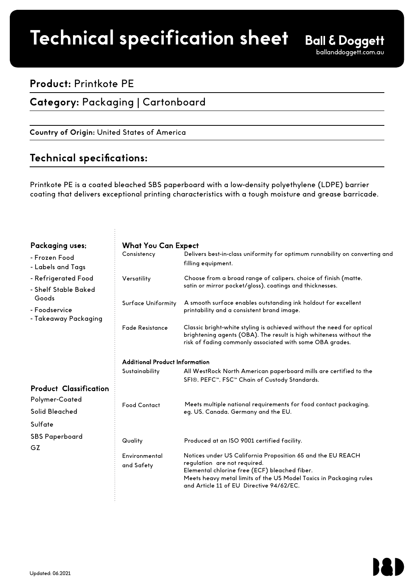# **Product spec sheet Technical specification sheet**

## **Product:** Printkote PE

**Category:** Packaging | Cartonboard

<u>Country of Origin: United States of America</u>

# **remarkable protection. Technical specifications:**

**Impactful graphics meets** 

Printkote PE is a coated bleached SBS paperboard with a low-density polyethylene (LDPE) barrier coating that delivers exceptional printing characteristics with a tough moisture and grease barricade.

#### Packaging use

| - Frozen Food |  |
|---------------|--|
|               |  |

- Labels and Ta
- Refrigerated F - Shelf Stable Be
- Goods
- Foodservice

| Packaging uses;                                                                               | <b>What You Can Expect</b>                              |                                                                                                                                                                                                                                             |
|-----------------------------------------------------------------------------------------------|---------------------------------------------------------|---------------------------------------------------------------------------------------------------------------------------------------------------------------------------------------------------------------------------------------------|
| - Frozen Food<br>- Labels and Tags                                                            | Consistency                                             | Delivers best-in-class uniformity for optimum runnability on converting and<br>filling equipment.                                                                                                                                           |
| - Refrigerated Food<br>- Shelf Stable Baked<br>Goods<br>- Foodservice<br>- Takeaway Packaging | Versatility<br><b>Surface Uniformity</b>                | Choose from a broad range of calipers, choice of finish (matte,<br>satin or mirror pocket/gloss), coatings and thicknesses.<br>A smooth surface enables outstanding ink holdout for excellent<br>printability and a consistent brand image. |
|                                                                                               | <b>Fade Resistance</b>                                  | Classic bright-white styling is achieved without the need for optical<br>brightening agents (OBA). The result is high whiteness without the<br>risk of fading commonly associated with some OBA grades.                                     |
|                                                                                               | <b>Additional Product Information</b><br>Sustainability | All WestRock North American paperboard mills are certified to the<br>SFI®, PEFC™, FSC™ Chain of Custody Standards.                                                                                                                          |
| <b>Product Classification</b><br>Polymer-Coated<br>Solid Bleached<br>Sulfate                  | <b>Food Contact</b>                                     | Meets multiple national requirements for food contact packaging,<br>eg, US, Canada, Germany and the EU.                                                                                                                                     |
| <b>SBS</b> Paperboard<br>GZ                                                                   | Quality<br>Environmental                                | Produced at an ISO 9001 certified facility.<br>Notices under US California Proposition 65 and the EU REACH<br>regulation are not required.                                                                                                  |
|                                                                                               | and Safety                                              | Elemental chlorine free (ECF) bleached fiber.<br>Meets heavy metal limits of the US Model Toxics in Packaging rules<br>and Article 11 of EU Directive 94/62/EC.                                                                             |